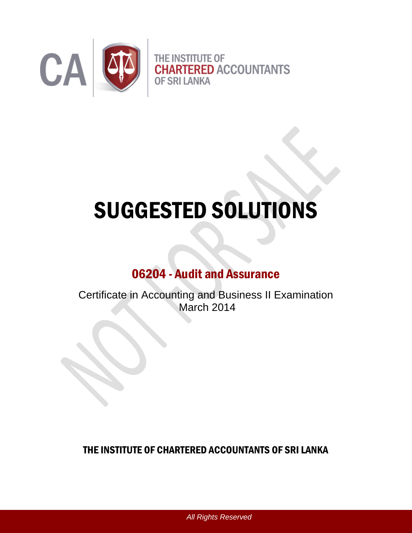

# SUGGESTED SOLUTIONS

# 06204 - Audit and Assurance

Certificate in Accounting and Business II Examination March 2014

THE INSTITUTE OF CHARTERED ACCOUNTANTS OF SRI LANKA

*All Rights Reserved*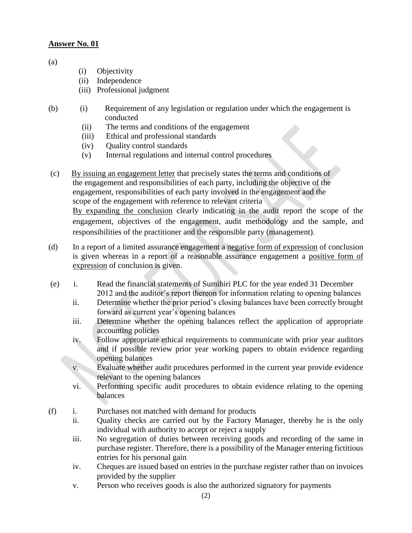(a)

- (i) Objectivity
- (ii) Independence
- (iii) Professional judgment
- (b) (i) Requirement of any legislation or regulation under which the engagement is conducted
	- (ii) The terms and conditions of the engagement
	- (iii) Ethical and professional standards
	- (iv) Quality control standards
	- (v) Internal regulations and internal control procedures
- (c) By issuing an engagement letter that precisely states the terms and conditions of the engagement and responsibilities of each party, including the objective of the engagement, responsibilities of each party involved in the engagement and the scope of the engagement with reference to relevant criteria By expanding the conclusion clearly indicating in the audit report the scope of the engagement, objectives of the engagement, audit methodology and the sample, and responsibilities of the practitioner and the responsible party (management).
- (d) In a report of a limited assurance engagement a negative form of expression of conclusion is given whereas in a report of a reasonable assurance engagement a positive form of expression of conclusion is given.
- (e) i. Read the financial statements of Sumihiri PLC for the year ended 31 December 2012 and the auditor's report thereon for information relating to opening balances
	- ii. Determine whether the prior period's closing balances have been correctly brought forward as current year's opening balances
	- iii. Determine whether the opening balances reflect the application of appropriate accounting policies
	- iv. Follow appropriate ethical requirements to communicate with prior year auditors and if possible review prior year working papers to obtain evidence regarding opening balances
	- v. Evaluate whether audit procedures performed in the current year provide evidence relevant to the opening balances
	- vi. Performing specific audit procedures to obtain evidence relating to the opening balances
- (f) i. Purchases not matched with demand for products
	- ii. Quality checks are carried out by the Factory Manager, thereby he is the only individual with authority to accept or reject a supply
	- iii. No segregation of duties between receiving goods and recording of the same in purchase register. Therefore, there is a possibility of the Manager entering fictitious entries for his personal gain
	- iv. Cheques are issued based on entries in the purchase register rather than on invoices provided by the supplier
	- v. Person who receives goods is also the authorized signatory for payments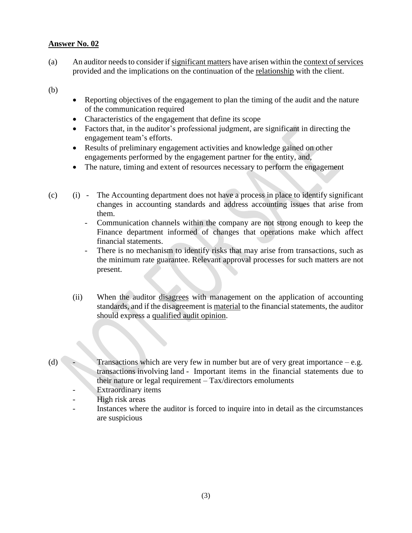(a) An auditor needsto consider if significant matters have arisen within the context of services provided and the implications on the continuation of the relationship with the client.

(b)

- Reporting objectives of the engagement to plan the timing of the audit and the nature of the communication required
- Characteristics of the engagement that define its scope
- Factors that, in the auditor's professional judgment, are significant in directing the engagement team's efforts.
- Results of preliminary engagement activities and knowledge gained on other engagements performed by the engagement partner for the entity, and,
- The nature, timing and extent of resources necessary to perform the engagement
- (c) (i) The Accounting department does not have a process in place to identify significant changes in accounting standards and address accounting issues that arise from them.
	- Communication channels within the company are not strong enough to keep the Finance department informed of changes that operations make which affect financial statements.
	- There is no mechanism to identify risks that may arise from transactions, such as the minimum rate guarantee. Relevant approval processes for such matters are not present.
	- (ii) When the auditor disagrees with management on the application of accounting standards, and if the disagreement is material to the financial statements, the auditor should express a qualified audit opinion.
- (d) Transactions which are very few in number but are of very great importance e.g. transactions involving land - Important items in the financial statements due to their nature or legal requirement – Tax/directors emoluments
	- Extraordinary items
	- High risk areas
	- Instances where the auditor is forced to inquire into in detail as the circumstances are suspicious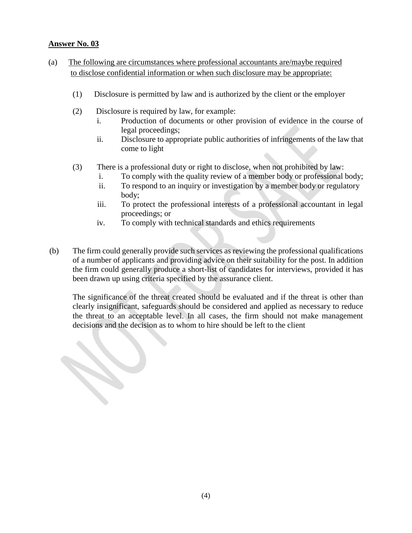- (a) The following are circumstances where professional accountants are/maybe required to disclose confidential information or when such disclosure may be appropriate:
	- (1) Disclosure is permitted by law and is authorized by the client or the employer
	- (2) Disclosure is required by law, for example:
		- i. Production of documents or other provision of evidence in the course of legal proceedings;
		- ii. Disclosure to appropriate public authorities of infringements of the law that come to light
	- (3) There is a professional duty or right to disclose, when not prohibited by law:
		- i. To comply with the quality review of a member body or professional body;
		- ii. To respond to an inquiry or investigation by a member body or regulatory body;
		- iii. To protect the professional interests of a professional accountant in legal proceedings; or
		- iv. To comply with technical standards and ethics requirements
- (b) The firm could generally provide such services as reviewing the professional qualifications of a number of applicants and providing advice on their suitability for the post. In addition the firm could generally produce a short-list of candidates for interviews, provided it has been drawn up using criteria specified by the assurance client.

The significance of the threat created should be evaluated and if the threat is other than clearly insignificant, safeguards should be considered and applied as necessary to reduce the threat to an acceptable level. In all cases, the firm should not make management decisions and the decision as to whom to hire should be left to the client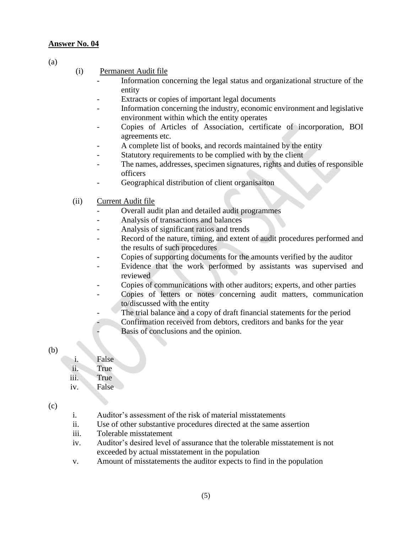(a)

#### (i) Permanent Audit file

- Information concerning the legal status and organizational structure of the entity
- Extracts or copies of important legal documents
- Information concerning the industry, economic environment and legislative environment within which the entity operates
- Copies of Articles of Association, certificate of incorporation, BOI agreements etc.
- A complete list of books, and records maintained by the entity
- Statutory requirements to be complied with by the client
- The names, addresses, specimen signatures, rights and duties of responsible officers
- Geographical distribution of client organisaiton
- (ii) Current Audit file
	- Overall audit plan and detailed audit programmes
	- Analysis of transactions and balances
	- Analysis of significant ratios and trends
	- Record of the nature, timing, and extent of audit procedures performed and the results of such procedures
	- Copies of supporting documents for the amounts verified by the auditor
	- Evidence that the work performed by assistants was supervised and reviewed
	- Copies of communications with other auditors; experts, and other parties
	- Copies of letters or notes concerning audit matters, communication to/discussed with the entity
	- The trial balance and a copy of draft financial statements for the period
	- Confirmation received from debtors, creditors and banks for the year Basis of conclusions and the opinion.
- (b)

## i. False

- ii. True
- iii. True
- iv. False

- i. Auditor's assessment of the risk of material misstatements
- ii. Use of other substantive procedures directed at the same assertion
- iii. Tolerable misstatement
- iv. Auditor's desired level of assurance that the tolerable misstatement is not exceeded by actual misstatement in the population
- v. Amount of misstatements the auditor expects to find in the population

<sup>(</sup>c)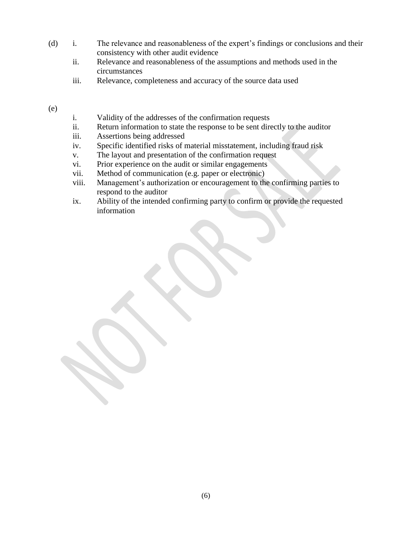- (d) i. The relevance and reasonableness of the expert's findings or conclusions and their consistency with other audit evidence
	- ii. Relevance and reasonableness of the assumptions and methods used in the circumstances
	- iii. Relevance, completeness and accuracy of the source data used

(e)

- i. Validity of the addresses of the confirmation requests
- ii. Return information to state the response to be sent directly to the auditor
- iii. Assertions being addressed
- iv. Specific identified risks of material misstatement, including fraud risk
- v. The layout and presentation of the confirmation request
- vi. Prior experience on the audit or similar engagements
- vii. Method of communication (e.g. paper or electronic)
- viii. Management's authorization or encouragement to the confirming parties to respond to the auditor
- ix. Ability of the intended confirming party to confirm or provide the requested information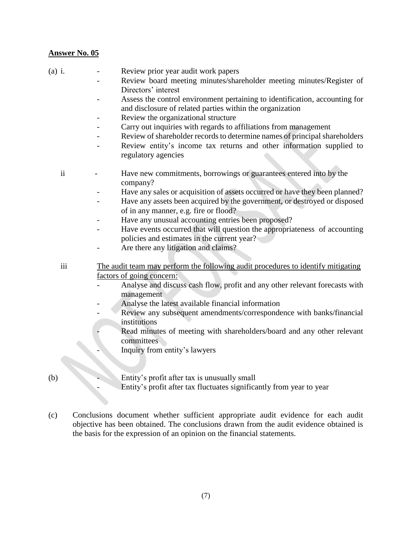- (a) i. Review prior year audit work papers
	- Review board meeting minutes/shareholder meeting minutes/Register of Directors' interest
	- Assess the control environment pertaining to identification, accounting for and disclosure of related parties within the organization
	- Review the organizational structure
	- Carry out inquiries with regards to affiliations from management
	- Review of shareholder records to determine names of principal shareholders
	- Review entity's income tax returns and other information supplied to regulatory agencies
	- ii Have new commitments, borrowings or guarantees entered into by the company?
		- Have any sales or acquisition of assets occurred or have they been planned?
		- Have any assets been acquired by the government, or destroyed or disposed of in any manner, e.g. fire or flood?
		- Have any unusual accounting entries been proposed?
		- Have events occurred that will question the appropriateness of accounting policies and estimates in the current year?
		- Are there any litigation and claims?
	- iii The audit team may perform the following audit procedures to identify mitigating factors of going concern:
		- Analyse and discuss cash flow, profit and any other relevant forecasts with management
		- Analyse the latest available financial information
		- Review any subsequent amendments/correspondence with banks/financial institutions
			- Read minutes of meeting with shareholders/board and any other relevant committees
			- Inquiry from entity's lawyers
- (b) Entity's profit after tax is unusually small
	- Entity's profit after tax fluctuates significantly from year to year
- (c) Conclusions document whether sufficient appropriate audit evidence for each audit objective has been obtained. The conclusions drawn from the audit evidence obtained is the basis for the expression of an opinion on the financial statements.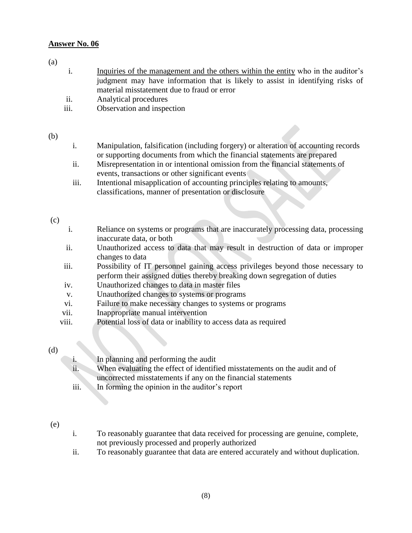#### (a)

- i. Inquiries of the management and the others within the entity who in the auditor's judgment may have information that is likely to assist in identifying risks of material misstatement due to fraud or error
- ii. Analytical procedures
- iii. Observation and inspection

#### (b)

- i. Manipulation, falsification (including forgery) or alteration of accounting records or supporting documents from which the financial statements are prepared
- ii. Misrepresentation in or intentional omission from the financial statements of events, transactions or other significant events
- iii. Intentional misapplication of accounting principles relating to amounts, classifications, manner of presentation or disclosure

#### (c)

- i. Reliance on systems or programs that are inaccurately processing data, processing inaccurate data, or both
- ii. Unauthorized access to data that may result in destruction of data or improper changes to data
- iii. Possibility of IT personnel gaining access privileges beyond those necessary to perform their assigned duties thereby breaking down segregation of duties
- iv. Unauthorized changes to data in master files
- v. Unauthorized changes to systems or programs
- vi. Failure to make necessary changes to systems or programs
- vii. Inappropriate manual intervention
- viii. Potential loss of data or inability to access data as required

#### (d)

i. In planning and performing the audit ii. When evaluating the effect of identified misstatements on the audit and of uncorrected misstatements if any on the financial statements iii. In forming the opinion in the auditor's report

#### (e)

- i. To reasonably guarantee that data received for processing are genuine, complete, not previously processed and properly authorized
- ii. To reasonably guarantee that data are entered accurately and without duplication.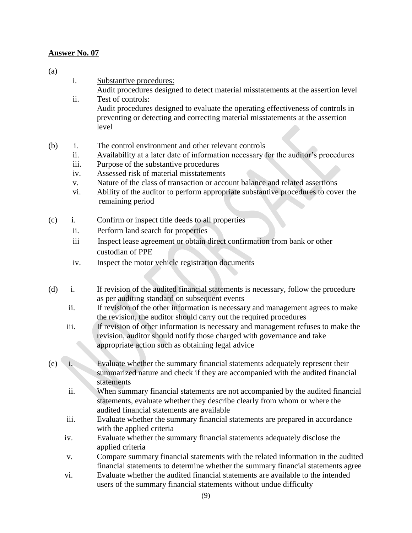(a)

- i. Substantive procedures:
	- Audit procedures designed to detect material misstatements at the assertion level
- ii. Test of controls: Audit procedures designed to evaluate the operating effectiveness of controls in preventing or detecting and correcting material misstatements at the assertion level
- (b) i. The control environment and other relevant controls
	- ii. Availability at a later date of information necessary for the auditor's procedures
	- iii. Purpose of the substantive procedures
	- iv. Assessed risk of material misstatements
	- v. Nature of the class of transaction or account balance and related assertions
	- vi. Ability of the auditor to perform appropriate substantive procedures to cover the remaining period
- (c) i. Confirm or inspect title deeds to all properties
	- ii. Perform land search for properties
	- iii Inspect lease agreement or obtain direct confirmation from bank or other custodian of PPE
	- iv. Inspect the motor vehicle registration documents
- (d) i. If revision of the audited financial statements is necessary, follow the procedure as per auditing standard on subsequent events
	- ii. If revision of the other information is necessary and management agrees to make the revision, the auditor should carry out the required procedures
	- iii. If revision of other information is necessary and management refuses to make the revision, auditor should notify those charged with governance and take appropriate action such as obtaining legal advice
- (e) i. Evaluate whether the summary financial statements adequately represent their summarized nature and check if they are accompanied with the audited financial statements
	- ii. When summary financial statements are not accompanied by the audited financial statements, evaluate whether they describe clearly from whom or where the audited financial statements are available
	- iii. Evaluate whether the summary financial statements are prepared in accordance with the applied criteria
	- iv. Evaluate whether the summary financial statements adequately disclose the applied criteria
	- v. Compare summary financial statements with the related information in the audited financial statements to determine whether the summary financial statements agree
	- vi. Evaluate whether the audited financial statements are available to the intended users of the summary financial statements without undue difficulty